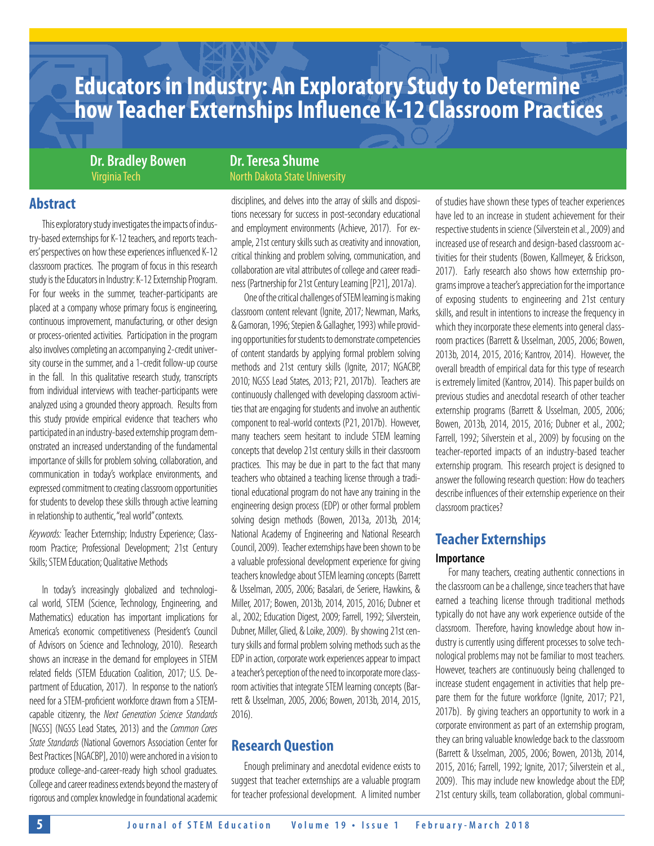## **Educators in Industry: An Exploratory Study to Determine how Teacher Externships Influence K-12 Classroom Practices**

**Dr. Bradley Bowen Dr. Teresa Shume** 

## **Abstract**

This exploratory study investigates the impacts of industry-based externships for K-12 teachers, and reports teachers' perspectives on how these experiences influenced K-12 classroom practices. The program of focus in this research study is the Educators in Industry: K-12 Externship Program. For four weeks in the summer, teacher-participants are placed at a company whose primary focus is engineering, continuous improvement, manufacturing, or other design or process-oriented activities. Participation in the program also involves completing an accompanying 2-credit university course in the summer, and a 1-credit follow-up course in the fall. In this qualitative research study, transcripts from individual interviews with teacher-participants were analyzed using a grounded theory approach. Results from this study provide empirical evidence that teachers who participated in an industry-based externship program demonstrated an increased understanding of the fundamental importance of skills for problem solving, collaboration, and communication in today's workplace environments, and expressed commitment to creating classroom opportunities for students to develop these skills through active learning in relationship to authentic, "real world" contexts.

*Keywords:* Teacher Externship; Industry Experience; Classroom Practice; Professional Development; 21st Century Skills; STEM Education; Qualitative Methods

In today's increasingly globalized and technological world, STEM (Science, Technology, Engineering, and Mathematics) education has important implications for America's economic competitiveness (President's Council of Advisors on Science and Technology, 2010). Research shows an increase in the demand for employees in STEM related fields (STEM Education Coalition, 2017; U.S. Department of Education, 2017). In response to the nation's need for a STEM-proficient workforce drawn from a STEMcapable citizenry, the *Next Generation Science Standards*  [NGSS] (NGSS Lead States, 2013) and the *Common Cores State Standards* (National Governors Association Center for Best Practices [NGACBP], 2010) were anchored in a vision to produce college-and-career-ready high school graduates. College and career readiness extends beyond the mastery of rigorous and complex knowledge in foundational academic

# Virginia Tech North Dakota State University

disciplines, and delves into the array of skills and dispositions necessary for success in post-secondary educational and employment environments (Achieve, 2017). For example, 21st century skills such as creativity and innovation, critical thinking and problem solving, communication, and collaboration are vital attributes of college and career readiness (Partnership for 21st Century Learning [P21], 2017a).

One of the critical challenges of STEM learning is making classroom content relevant (Ignite, 2017; Newman, Marks, & Gamoran, 1996; Stepien & Gallagher, 1993) while providing opportunities for students to demonstrate competencies of content standards by applying formal problem solving methods and 21st century skills (Ignite, 2017; NGACBP, 2010; NGSS Lead States, 2013; P21, 2017b). Teachers are continuously challenged with developing classroom activities that are engaging for students and involve an authentic component to real-world contexts (P21, 2017b). However, many teachers seem hesitant to include STEM learning concepts that develop 21st century skills in their classroom practices. This may be due in part to the fact that many teachers who obtained a teaching license through a traditional educational program do not have any training in the engineering design process (EDP) or other formal problem solving design methods (Bowen, 2013a, 2013b, 2014; National Academy of Engineering and National Research Council, 2009). Teacher externships have been shown to be a valuable professional development experience for giving teachers knowledge about STEM learning concepts (Barrett & Usselman, 2005, 2006; Basalari, de Seriere, Hawkins, & Miller, 2017; Bowen, 2013b, 2014, 2015, 2016; Dubner et al., 2002; Education Digest, 2009; Farrell, 1992; Silverstein, Dubner, Miller, Glied, & Loike, 2009). By showing 21st century skills and formal problem solving methods such as the EDP in action, corporate work experiences appear to impact a teacher's perception of the need to incorporate more classroom activities that integrate STEM learning concepts (Barrett & Usselman, 2005, 2006; Bowen, 2013b, 2014, 2015, 2016).

## **Research Question**

Enough preliminary and anecdotal evidence exists to suggest that teacher externships are a valuable program for teacher professional development. A limited number

of studies have shown these types of teacher experiences have led to an increase in student achievement for their respective students in science (Silverstein et al., 2009) and increased use of research and design-based classroom activities for their students (Bowen, Kallmeyer, & Erickson, 2017). Early research also shows how externship programs improve a teacher's appreciation for the importance of exposing students to engineering and 21st century skills, and result in intentions to increase the frequency in which they incorporate these elements into general classroom practices (Barrett & Usselman, 2005, 2006; Bowen, 2013b, 2014, 2015, 2016; Kantrov, 2014). However, the overall breadth of empirical data for this type of research is extremely limited (Kantrov, 2014). This paper builds on previous studies and anecdotal research of other teacher externship programs (Barrett & Usselman, 2005, 2006; Bowen, 2013b, 2014, 2015, 2016; Dubner et al., 2002; Farrell, 1992; Silverstein et al., 2009) by focusing on the teacher-reported impacts of an industry-based teacher externship program. This research project is designed to answer the following research question: How do teachers describe influences of their externship experience on their classroom practices?

## **Teacher Externships**

#### **Importance**

For many teachers, creating authentic connections in the classroom can be a challenge, since teachers that have earned a teaching license through traditional methods typically do not have any work experience outside of the classroom. Therefore, having knowledge about how industry is currently using different processes to solve technological problems may not be familiar to most teachers. However, teachers are continuously being challenged to increase student engagement in activities that help prepare them for the future workforce (Ignite, 2017; P21, 2017b). By giving teachers an opportunity to work in a corporate environment as part of an externship program, they can bring valuable knowledge back to the classroom (Barrett & Usselman, 2005, 2006; Bowen, 2013b, 2014, 2015, 2016; Farrell, 1992; Ignite, 2017; Silverstein et al., 2009). This may include new knowledge about the EDP, 21st century skills, team collaboration, global communi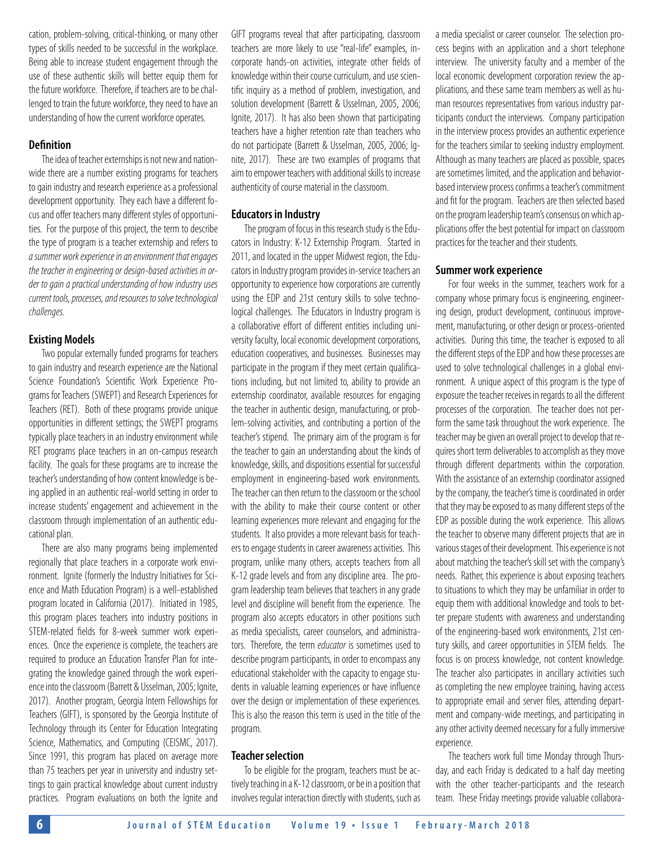cation, problem-solving, critical-thinking, or many other types of skills needed to be successful in the workplace. Being able to increase student engagement through the use of these authentic skills will better equip them for the future workforce. Therefore, if teachers are to be challenged to train the future workforce, they need to have an understanding of how the current workforce operates.

#### **Definition**

The idea of teacher externships is not new and nationwide there are a number existing programs for teachers to gain industry and research experience as a professional development opportunity. They each have a different focus and offer teachers many different styles of opportunities. For the purpose of this project, the term to describe the type of program is a teacher externship and refers to *a summer work experience in an environment that engages the teacher in engineering or design-based activities in order to gain a practical understanding of how industry uses current tools, processes, and resources to solve technological challenges.* 

#### **Existing Models**

Two popular externally funded programs for teachers to gain industry and research experience are the National Science Foundation's Scientific Work Experience Programs for Teachers (SWEPT) and Research Experiences for Teachers (RET). Both of these programs provide unique opportunities in different settings; the SWEPT programs typically place teachers in an industry environment while RET programs place teachers in an on-campus research facility. The goals for these programs are to increase the teacher's understanding of how content knowledge is being applied in an authentic real-world setting in order to increase students' engagement and achievement in the classroom through implementation of an authentic educational plan.

There are also many programs being implemented regionally that place teachers in a corporate work environment. Ignite (formerly the Industry Initiatives for Science and Math Education Program) is a well-established program located in California (2017). Initiated in 1985, this program places teachers into industry positions in STEM-related fields for 8-week summer work experiences. Once the experience is complete, the teachers are required to produce an Education Transfer Plan for integrating the knowledge gained through the work experience into the classroom (Barrett & Usselman, 2005; Ignite, 2017). Another program, Georgia Intern Fellowships for Teachers (GIFT), is sponsored by the Georgia Institute of Technology through its Center for Education Integrating Science, Mathematics, and Computing (CEISMC, 2017). Since 1991, this program has placed on average more than 75 teachers per year in university and industry settings to gain practical knowledge about current industry practices. Program evaluations on both the Ignite and

GIFT programs reveal that after participating, classroom teachers are more likely to use "real-life" examples, incorporate hands-on activities, integrate other fields of knowledge within their course curriculum, and use scientific inquiry as a method of problem, investigation, and solution development (Barrett & Usselman, 2005, 2006; Ignite, 2017). It has also been shown that participating teachers have a higher retention rate than teachers who do not participate (Barrett & Usselman, 2005, 2006; Ignite, 2017). These are two examples of programs that aim to empower teachers with additional skills to increase authenticity of course material in the classroom.

#### **Educators in Industry**

The program of focus in this research study is the Educators in Industry: K-12 Externship Program. Started in 2011, and located in the upper Midwest region, the Educators in Industry program provides in-service teachers an opportunity to experience how corporations are currently using the EDP and 21st century skills to solve technological challenges. The Educators in Industry program is a collaborative effort of different entities including university faculty, local economic development corporations, education cooperatives, and businesses. Businesses may participate in the program if they meet certain qualifications including, but not limited to, ability to provide an externship coordinator, available resources for engaging the teacher in authentic design, manufacturing, or problem-solving activities, and contributing a portion of the teacher's stipend. The primary aim of the program is for the teacher to gain an understanding about the kinds of knowledge, skills, and dispositions essential for successful employment in engineering-based work environments. The teacher can then return to the classroom or the school with the ability to make their course content or other learning experiences more relevant and engaging for the students. It also provides a more relevant basis for teachers to engage students in career awareness activities. This program, unlike many others, accepts teachers from all K-12 grade levels and from any discipline area. The program leadership team believes that teachers in any grade level and discipline will benefit from the experience. The program also accepts educators in other positions such as media specialists, career counselors, and administrators. Therefore, the term *educator* is sometimes used to describe program participants, in order to encompass any educational stakeholder with the capacity to engage students in valuable learning experiences or have influence over the design or implementation of these experiences. This is also the reason this term is used in the title of the program.

#### **Teacher selection**

To be eligible for the program, teachers must be actively teaching in a K-12 classroom, or be in a position that involves regular interaction directly with students, such as a media specialist or career counselor. The selection process begins with an application and a short telephone interview. The university faculty and a member of the local economic development corporation review the applications, and these same team members as well as human resources representatives from various industry participants conduct the interviews. Company participation in the interview process provides an authentic experience for the teachers similar to seeking industry employment. Although as many teachers are placed as possible, spaces are sometimes limited, and the application and behaviorbased interview process confirms a teacher's commitment and fit for the program. Teachers are then selected based on the program leadership team's consensus on which applications offer the best potential for impact on classroom practices for the teacher and their students.

#### **Summer work experience**

For four weeks in the summer, teachers work for a company whose primary focus is engineering, engineering design, product development, continuous improvement, manufacturing, or other design or process-oriented activities. During this time, the teacher is exposed to all the different steps of the EDP and how these processes are used to solve technological challenges in a global environment. A unique aspect of this program is the type of exposure the teacher receives in regards to all the different processes of the corporation. The teacher does not perform the same task throughout the work experience. The teacher may be given an overall project to develop that requires short term deliverables to accomplish as they move through different departments within the corporation. With the assistance of an externship coordinator assigned by the company, the teacher's time is coordinated in order that they may be exposed to as many different steps of the EDP as possible during the work experience. This allows the teacher to observe many different projects that are in various stages of their development. This experience is not about matching the teacher's skill set with the company's needs. Rather, this experience is about exposing teachers to situations to which they may be unfamiliar in order to equip them with additional knowledge and tools to better prepare students with awareness and understanding of the engineering-based work environments, 21st century skills, and career opportunities in STEM fields. The focus is on process knowledge, not content knowledge. The teacher also participates in ancillary activities such as completing the new employee training, having access to appropriate email and server files, attending department and company-wide meetings, and participating in any other activity deemed necessary for a fully immersive experience.

The teachers work full time Monday through Thursday, and each Friday is dedicated to a half day meeting with the other teacher-participants and the research team. These Friday meetings provide valuable collabora-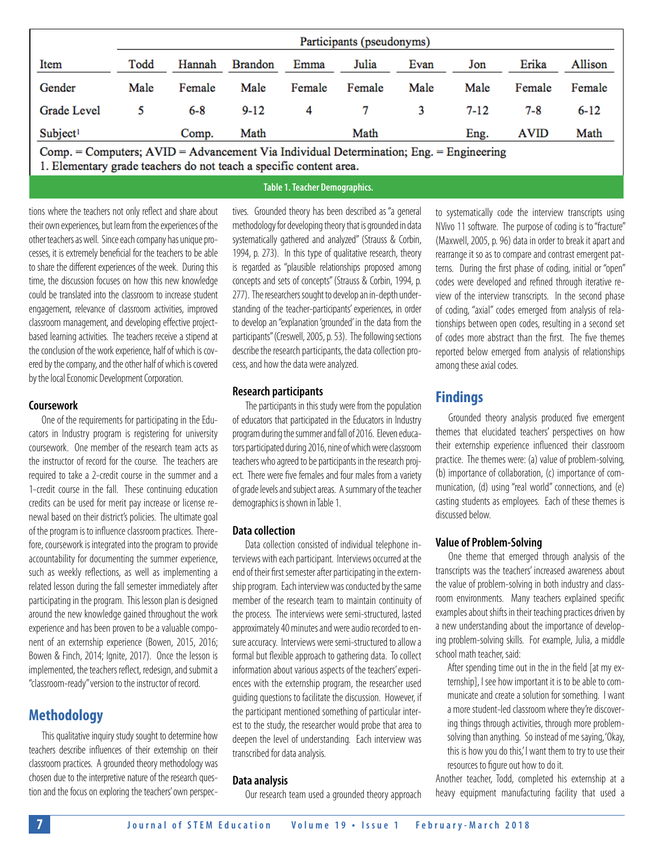|                                                                                                                                                              | Participants (pseudonyms) |         |                |        |        |      |          |             |          |
|--------------------------------------------------------------------------------------------------------------------------------------------------------------|---------------------------|---------|----------------|--------|--------|------|----------|-------------|----------|
| Item                                                                                                                                                         | Todd                      | Hannah  | <b>Brandon</b> | Emma   | Julia  | Evan | Jon      | Erika       | Allison  |
| Gender                                                                                                                                                       | Male                      | Female  | Male           | Female | Female | Male | Male     | Female      | Female   |
| Grade Level                                                                                                                                                  | 5                         | $6 - 8$ | $9-12$         | 4      |        | 3    | $7 - 12$ | 7-8         | $6 - 12$ |
| Subject <sup>1</sup>                                                                                                                                         |                           | Comp.   | Math           |        | Math   |      | Eng.     | <b>AVID</b> | Math     |
| Comp. = Computers; AVID = Advancement Via Individual Determination; Eng. = Engineering<br>1. Elementary grade teachers do not teach a specific content area. |                           |         |                |        |        |      |          |             |          |

#### **Table 1. Teacher Demographics.**

tions where the teachers not only reflect and share about their own experiences, but learn from the experiences of the other teachers as well. Since each company has unique processes, it is extremely beneficial for the teachers to be able to share the different experiences of the week. During this time, the discussion focuses on how this new knowledge could be translated into the classroom to increase student engagement, relevance of classroom activities, improved classroom management, and developing effective projectbased learning activities. The teachers receive a stipend at the conclusion of the work experience, half of which is covered by the company, and the other half of which is covered by the local Economic Development Corporation.

#### **Coursework**

One of the requirements for participating in the Educators in Industry program is registering for university coursework. One member of the research team acts as the instructor of record for the course. The teachers are required to take a 2-credit course in the summer and a 1-credit course in the fall. These continuing education credits can be used for merit pay increase or license renewal based on their district's policies. The ultimate goal of the program is to influence classroom practices. Therefore, coursework is integrated into the program to provide accountability for documenting the summer experience, such as weekly reflections, as well as implementing a related lesson during the fall semester immediately after participating in the program. This lesson plan is designed around the new knowledge gained throughout the work experience and has been proven to be a valuable component of an externship experience (Bowen, 2015, 2016; Bowen & Finch, 2014; Ignite, 2017). Once the lesson is implemented, the teachers reflect, redesign, and submit a "classroom-ready" version to the instructor of record.

## **Methodology**

This qualitative inquiry study sought to determine how teachers describe influences of their externship on their classroom practices. A grounded theory methodology was chosen due to the interpretive nature of the research question and the focus on exploring the teachers' own perspec-

tives. Grounded theory has been described as "a general methodology for developing theory that is grounded in data systematically gathered and analyzed" (Strauss & Corbin, 1994, p. 273). In this type of qualitative research, theory is regarded as "plausible relationships proposed among concepts and sets of concepts" (Strauss & Corbin, 1994, p. 277). The researchers sought to develop an in-depth understanding of the teacher-participants' experiences, in order to develop an "explanation 'grounded' in the data from the participants" (Creswell, 2005, p. 53). The following sections describe the research participants, the data collection process, and how the data were analyzed.

#### **Research participants**

The participants in this study were from the population of educators that participated in the Educators in Industry program during the summer and fall of 2016. Eleven educators participated during 2016, nine of which were classroom teachers who agreed to be participants in the research project. There were five females and four males from a variety of grade levels and subject areas. A summary of the teacher demographics is shown in Table 1.

#### **Data collection**

Data collection consisted of individual telephone interviews with each participant. Interviews occurred at the end of their first semester after participating in the externship program. Each interview was conducted by the same member of the research team to maintain continuity of the process. The interviews were semi-structured, lasted approximately 40 minutes and were audio recorded to ensure accuracy. Interviews were semi-structured to allow a formal but flexible approach to gathering data. To collect information about various aspects of the teachers' experiences with the externship program, the researcher used guiding questions to facilitate the discussion. However, if the participant mentioned something of particular interest to the study, the researcher would probe that area to deepen the level of understanding. Each interview was transcribed for data analysis.

#### **Data analysis**

Our research team used a grounded theory approach

to systematically code the interview transcripts using NVivo 11 software. The purpose of coding is to "fracture" (Maxwell, 2005, p. 96) data in order to break it apart and rearrange it so as to compare and contrast emergent patterns. During the first phase of coding, initial or "open" codes were developed and refined through iterative review of the interview transcripts. In the second phase of coding, "axial" codes emerged from analysis of relationships between open codes, resulting in a second set of codes more abstract than the first. The five themes reported below emerged from analysis of relationships among these axial codes.

## **Findings**

Grounded theory analysis produced five emergent themes that elucidated teachers' perspectives on how their externship experience influenced their classroom practice. The themes were: (a) value of problem-solving, (b) importance of collaboration, (c) importance of communication, (d) using "real world" connections, and (e) casting students as employees. Each of these themes is discussed below.

#### **Value of Problem-Solving**

One theme that emerged through analysis of the transcripts was the teachers' increased awareness about the value of problem-solving in both industry and classroom environments. Many teachers explained specific examples about shifts in their teaching practices driven by a new understanding about the importance of developing problem-solving skills. For example, Julia, a middle school math teacher, said:

After spending time out in the in the field [at my externship], I see how important it is to be able to communicate and create a solution for something. I want a more student-led classroom where they're discovering things through activities, through more problemsolving than anything. So instead of me saying, 'Okay, this is how you do this,'I want them to try to use their resources to figure out how to do it.

Another teacher, Todd, completed his externship at a heavy equipment manufacturing facility that used a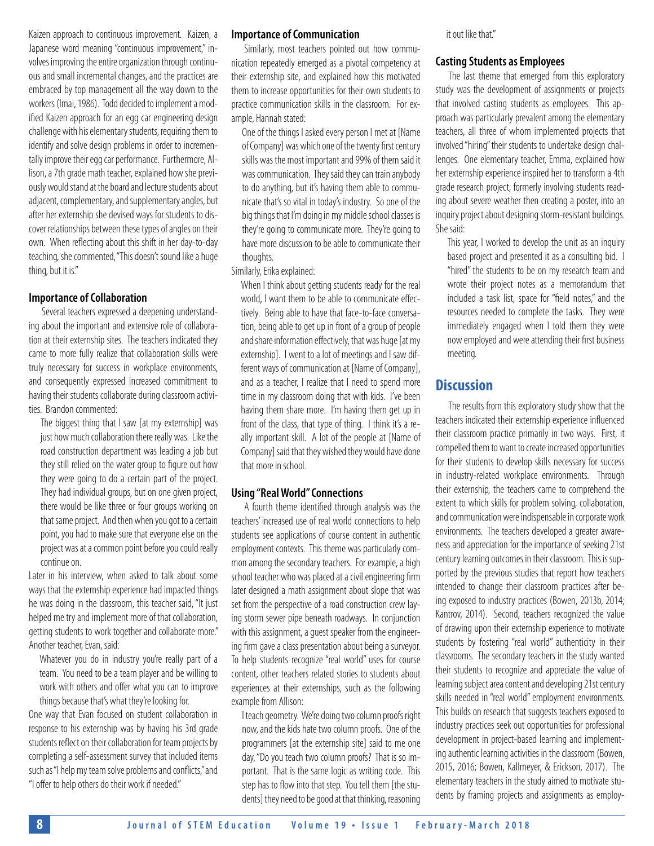Kaizen approach to continuous improvement. Kaizen, a Japanese word meaning "continuous improvement," involves improving the entire organization through continuous and small incremental changes, and the practices are embraced by top management all the way down to the workers (Imai, 1986). Todd decided to implement a modified Kaizen approach for an egg car engineering design challenge with his elementary students, requiring them to identify and solve design problems in order to incrementally improve their egg car performance. Furthermore, Allison, a 7th grade math teacher, explained how she previously would stand at the board and lecture students about adjacent, complementary, and supplementary angles, but after her externship she devised ways for students to discover relationships between these types of angles on their own. When reflecting about this shift in her day-to-day teaching, she commented, "This doesn't sound like a huge thing, but it is."

#### **Importance of Collaboration**

Several teachers expressed a deepening understanding about the important and extensive role of collaboration at their externship sites. The teachers indicated they came to more fully realize that collaboration skills were truly necessary for success in workplace environments, and consequently expressed increased commitment to having their students collaborate during classroom activities. Brandon commented:

The biggest thing that I saw [at my externship] was just how much collaboration there really was. Like the road construction department was leading a job but they still relied on the water group to figure out how they were going to do a certain part of the project. They had individual groups, but on one given project, there would be like three or four groups working on that same project. And then when you got to a certain point, you had to make sure that everyone else on the project was at a common point before you could really continue on.

Later in his interview, when asked to talk about some ways that the externship experience had impacted things he was doing in the classroom, this teacher said, "It just helped me try and implement more of that collaboration, getting students to work together and collaborate more." Another teacher, Evan, said:

Whatever you do in industry you're really part of a team. You need to be a team player and be willing to work with others and offer what you can to improve things because that's what they're looking for.

One way that Evan focused on student collaboration in response to his externship was by having his 3rd grade students reflect on their collaboration for team projects by completing a self-assessment survey that included items such as "I help my team solve problems and conflicts," and "I offer to help others do their work if needed."

#### **Importance of Communication**

Similarly, most teachers pointed out how communication repeatedly emerged as a pivotal competency at their externship site, and explained how this motivated them to increase opportunities for their own students to practice communication skills in the classroom. For example, Hannah stated:

One of the things I asked every person I met at [Name of Company] was which one of the twenty first century skills was the most important and 99% of them said it was communication. They said they can train anybody to do anything, but it's having them able to communicate that's so vital in today's industry. So one of the big things that I'm doing in my middle school classes is they're going to communicate more. They're going to have more discussion to be able to communicate their thoughts.

#### Similarly, Erika explained:

When I think about getting students ready for the real world, I want them to be able to communicate effectively. Being able to have that face-to-face conversation, being able to get up in front of a group of people and share information effectively, that was huge [at my externship]. I went to a lot of meetings and I saw different ways of communication at [Name of Company], and as a teacher, I realize that I need to spend more time in my classroom doing that with kids. I've been having them share more. I'm having them get up in front of the class, that type of thing. I think it's a really important skill. A lot of the people at [Name of Company] said that they wished they would have done that more in school.

#### **Using "Real World" Connections**

A fourth theme identified through analysis was the teachers' increased use of real world connections to help students see applications of course content in authentic employment contexts. This theme was particularly common among the secondary teachers. For example, a high school teacher who was placed at a civil engineering firm later designed a math assignment about slope that was set from the perspective of a road construction crew laying storm sewer pipe beneath roadways. In conjunction with this assignment, a guest speaker from the engineering firm gave a class presentation about being a surveyor. To help students recognize "real world" uses for course content, other teachers related stories to students about experiences at their externships, such as the following example from Allison:

I teach geometry. We're doing two column proofs right now, and the kids hate two column proofs. One of the programmers [at the externship site] said to me one day, "Do you teach two column proofs? That is so important. That is the same logic as writing code. This step has to flow into that step. You tell them [the students] they need to be good at that thinking, reasoning

it out like that."

#### **Casting Students as Employees**

The last theme that emerged from this exploratory study was the development of assignments or projects that involved casting students as employees. This approach was particularly prevalent among the elementary teachers, all three of whom implemented projects that involved "hiring" their students to undertake design challenges. One elementary teacher, Emma, explained how her externship experience inspired her to transform a 4th grade research project, formerly involving students reading about severe weather then creating a poster, into an inquiry project about designing storm-resistant buildings. She said:

This year, I worked to develop the unit as an inquiry based project and presented it as a consulting bid. I "hired" the students to be on my research team and wrote their project notes as a memorandum that included a task list, space for "field notes," and the resources needed to complete the tasks. They were immediately engaged when I told them they were now employed and were attending their first business meeting.

## **Discussion**

The results from this exploratory study show that the teachers indicated their externship experience influenced their classroom practice primarily in two ways. First, it compelled them to want to create increased opportunities for their students to develop skills necessary for success in industry-related workplace environments. Through their externship, the teachers came to comprehend the extent to which skills for problem solving, collaboration, and communication were indispensable in corporate work environments. The teachers developed a greater awareness and appreciation for the importance of seeking 21st century learning outcomes in their classroom. This is supported by the previous studies that report how teachers intended to change their classroom practices after being exposed to industry practices (Bowen, 2013b, 2014; Kantrov, 2014). Second, teachers recognized the value of drawing upon their externship experience to motivate students by fostering "real world" authenticity in their classrooms. The secondary teachers in the study wanted their students to recognize and appreciate the value of learning subject area content and developing 21st century skills needed in "real world" employment environments. This builds on research that suggests teachers exposed to industry practices seek out opportunities for professional development in project-based learning and implementing authentic learning activities in the classroom (Bowen, 2015, 2016; Bowen, Kallmeyer, & Erickson, 2017). The elementary teachers in the study aimed to motivate students by framing projects and assignments as employ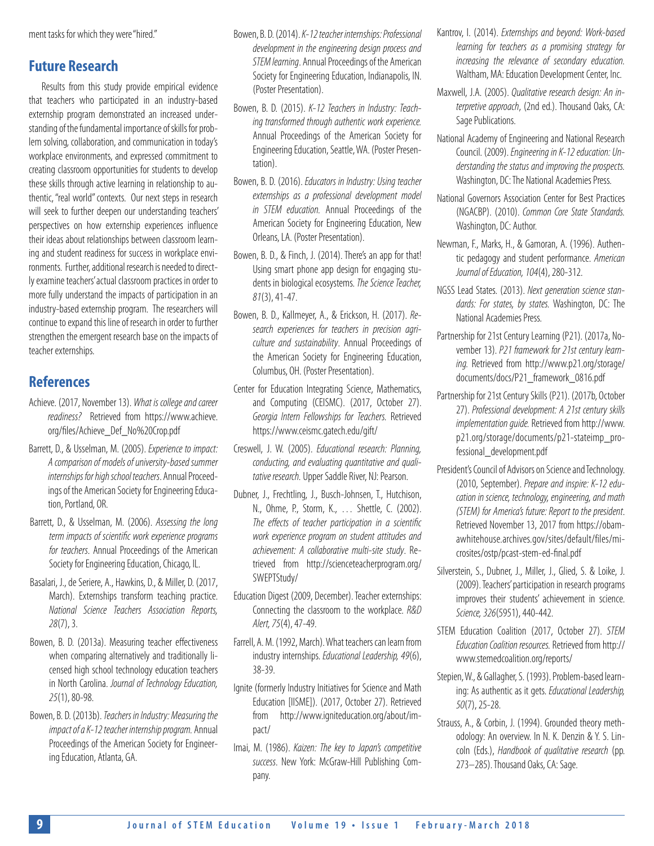ment tasks for which they were "hired."

## **Future Research**

Results from this study provide empirical evidence that teachers who participated in an industry-based externship program demonstrated an increased understanding of the fundamental importance of skills for problem solving, collaboration, and communication in today's workplace environments, and expressed commitment to creating classroom opportunities for students to develop these skills through active learning in relationship to authentic, "real world" contexts. Our next steps in research will seek to further deepen our understanding teachers' perspectives on how externship experiences influence their ideas about relationships between classroom learning and student readiness for success in workplace environments. Further, additional research is needed to directly examine teachers' actual classroom practices in order to more fully understand the impacts of participation in an industry-based externship program. The researchers will continue to expand this line of research in order to further strengthen the emergent research base on the impacts of teacher externships.

## **References**

- Achieve. (2017, November 13). *What is college and career readiness?* Retrieved from https://www.achieve. org/files/Achieve\_Def\_No%20Crop.pdf
- Barrett, D., & Usselman, M. (2005). *Experience to impact: A comparison of models of university-based summer internships for high school teachers*. Annual Proceedings of the American Society for Engineering Education, Portland, OR.
- Barrett, D., & Usselman, M. (2006). *Assessing the long term impacts of scientific work experience programs for teachers*. Annual Proceedings of the American Society for Engineering Education, Chicago, IL.
- Basalari, J., de Seriere, A., Hawkins, D., & Miller, D. (2017, March). Externships transform teaching practice. *National Science Teachers Association Reports, 28*(7), 3.
- Bowen, B. D. (2013a). Measuring teacher effectiveness when comparing alternatively and traditionally licensed high school technology education teachers in North Carolina. *Journal of Technology Education, 25*(1), 80-98.
- Bowen, B. D. (2013b). *Teachers in Industry: Measuring the impact of a K-12 teacher internship program.* Annual Proceedings of the American Society for Engineering Education, Atlanta, GA.
- Bowen, B. D. (2014). *K-12 teacher internships: Professional development in the engineering design process and STEM learning*. Annual Proceedings of the American Society for Engineering Education, Indianapolis, IN. (Poster Presentation).
- Bowen, B. D. (2015). *K-12 Teachers in Industry: Teaching transformed through authentic work experience.* Annual Proceedings of the American Society for Engineering Education, Seattle, WA. (Poster Presentation).
- Bowen, B. D. (2016). *Educators in Industry: Using teacher externships as a professional development model in STEM education.* Annual Proceedings of the American Society for Engineering Education, New Orleans, LA. (Poster Presentation).
- Bowen, B. D., & Finch, J. (2014). There's an app for that! Using smart phone app design for engaging students in biological ecosystems. *The Science Teacher, 81*(3), 41-47.
- Bowen, B. D., Kallmeyer, A., & Erickson, H. (2017). *Research experiences for teachers in precision agriculture and sustainability*. Annual Proceedings of the American Society for Engineering Education, Columbus, OH. (Poster Presentation).
- Center for Education Integrating Science, Mathematics, and Computing (CEISMC). (2017, October 27). *Georgia Intern Fellowships for Teachers.* Retrieved https://www.ceismc.gatech.edu/gift/
- Creswell, J. W. (2005). *Educational research: Planning, conducting, and evaluating quantitative and qualitative research.* Upper Saddle River, NJ: Pearson.
- Dubner, J., Frechtling, J., Busch-Johnsen, T., Hutchison, N., Ohme, P., Storm, K., … Shettle, C. (2002). *The effects of teacher participation in a scientific work experience program on student attitudes and achievement: A collaborative multi-site study*. Retrieved from http://scienceteacherprogram.org/ SWEPTStudy/
- Education Digest (2009, December). Teacher externships: Connecting the classroom to the workplace. *R&D Alert, 75*(4), 47-49.
- Farrell, A. M. (1992, March). What teachers can learn from industry internships. *Educational Leadership, 49*(6), 38-39.
- Ignite (formerly Industry Initiatives for Science and Math Education [IISME]). (2017, October 27). Retrieved from http://www.igniteducation.org/about/impact/
- Imai, M. (1986). *Kaizen: The key to Japan's competitive success*. New York: McGraw-Hill Publishing Company.
- Kantrov, I. (2014). *Externships and beyond: Work-based learning for teachers as a promising strategy for increasing the relevance of secondary education.* Waltham, MA: Education Development Center, Inc.
- Maxwell, J.A. (2005). *Qualitative research design: An interpretive approach*, (2nd ed.). Thousand Oaks, CA: Sage Publications.
- National Academy of Engineering and National Research Council. (2009). *[Engineering in K-12 education: Un](http://www.nap.edu/catalog.php?record_id=12635)[derstanding the status and improving the prospects](http://www.nap.edu/catalog.php?record_id=12635).*  Washington, DC: The National Academies Press.
- National Governors Association Center for Best Practices (NGACBP). (2010). *Common Core State Standards.*  Washington, DC: Author.
- Newman, F., Marks, H., & Gamoran, A. (1996). Authentic pedagogy and student performance. *American Journal of Education, 104*(4), 280-312.
- NGSS Lead States. (2013). *Next generation science standards: For states, by states.* Washington, DC: The National Academies Press.
- Partnership for 21st Century Learning (P21). (2017a, November 13). *P21 framework for 21st century learning.* Retrieved from http://www.p21.org/storage/ documents/docs/P21\_framework\_0816.pdf
- Partnership for 21st Century Skills (P21). (2017b, October 27). *Professional development: A 21st century skills implementation guide.* Retrieved from http://www. p21.org/storage/documents/p21-stateimp\_professional\_development.pdf
- President's Council of Advisors on Science and Technology. (2010, September). *Prepare and inspire: K-12 education in science, technology, engineering, and math (STEM) for America's future: Report to the president*. Retrieved November 13, 2017 from https://obamawhitehouse.archives.gov/sites/default/files/microsites/ostp/pcast-stem-ed-final.pdf
- Silverstein, S., Dubner, J., Miller, J., Glied, S. & Loike, J. (2009). Teachers' participation in research programs improves their students' achievement in science. *Science, 326*(5951), 440-442.
- STEM Education Coalition (2017, October 27). *STEM Education Coalition resources.* Retrieved from http:// www.stemedcoalition.org/reports/
- Stepien, W., & Gallagher, S. (1993). Problem-based learning: As authentic as it gets. *Educational Leadership, 50*(7), 25-28.
- Strauss, A., & Corbin, J. (1994). Grounded theory methodology: An overview. In N. K. Denzin & Y. S. Lincoln (Eds.), *Handbook of qualitative research* (pp. 273–285). Thousand Oaks, CA: Sage.